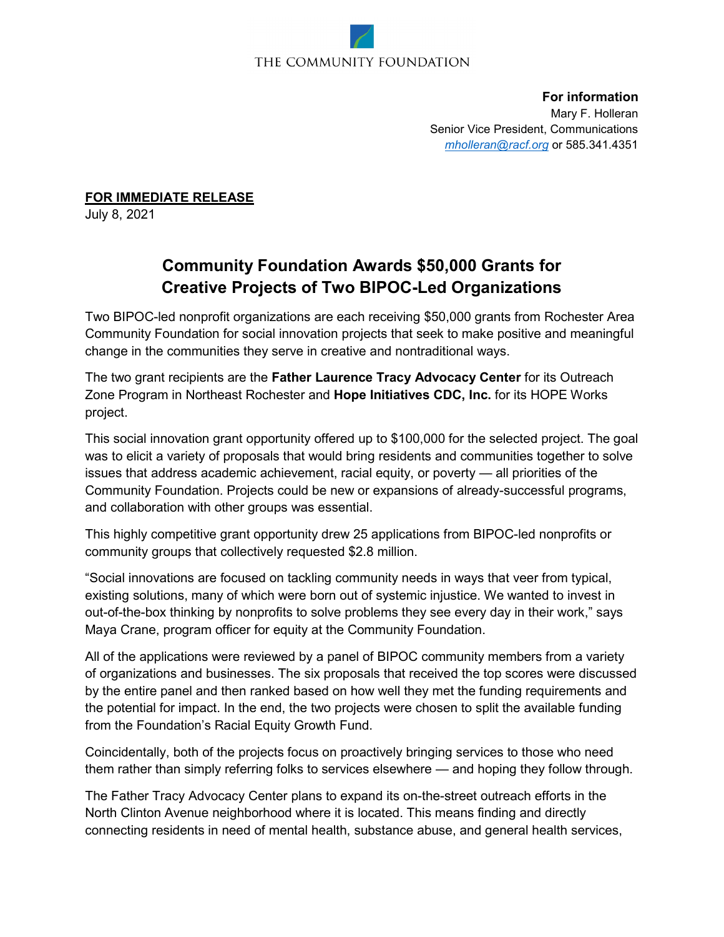## THE COMMUNITY FOUNDATION

**For information** Mary F. Holleran Senior Vice President, Communications *[mholleran@racf.org](about:blank)* or 585.341.4351

**FOR IMMEDIATE RELEASE**

July 8, 2021

## **Community Foundation Awards \$50,000 Grants for Creative Projects of Two BIPOC-Led Organizations**

Two BIPOC-led nonprofit organizations are each receiving \$50,000 grants from Rochester Area Community Foundation for social innovation projects that seek to make positive and meaningful change in the communities they serve in creative and nontraditional ways.

The two grant recipients are the **Father Laurence Tracy Advocacy Center** for its Outreach Zone Program in Northeast Rochester and **Hope Initiatives CDC, Inc.** for its HOPE Works project.

This social innovation grant opportunity offered up to \$100,000 for the selected project. The goal was to elicit a variety of proposals that would bring residents and communities together to solve issues that address academic achievement, racial equity, or poverty — all priorities of the Community Foundation. Projects could be new or expansions of already-successful programs, and collaboration with other groups was essential.

This highly competitive grant opportunity drew 25 applications from BIPOC-led nonprofits or community groups that collectively requested \$2.8 million.

"Social innovations are focused on tackling community needs in ways that veer from typical, existing solutions, many of which were born out of systemic injustice. We wanted to invest in out-of-the-box thinking by nonprofits to solve problems they see every day in their work," says Maya Crane, program officer for equity at the Community Foundation.

All of the applications were reviewed by a panel of BIPOC community members from a variety of organizations and businesses. The six proposals that received the top scores were discussed by the entire panel and then ranked based on how well they met the funding requirements and the potential for impact. In the end, the two projects were chosen to split the available funding from the Foundation's Racial Equity Growth Fund.

Coincidentally, both of the projects focus on proactively bringing services to those who need them rather than simply referring folks to services elsewhere — and hoping they follow through.

The Father Tracy Advocacy Center plans to expand its on-the-street outreach efforts in the North Clinton Avenue neighborhood where it is located. This means finding and directly connecting residents in need of mental health, substance abuse, and general health services,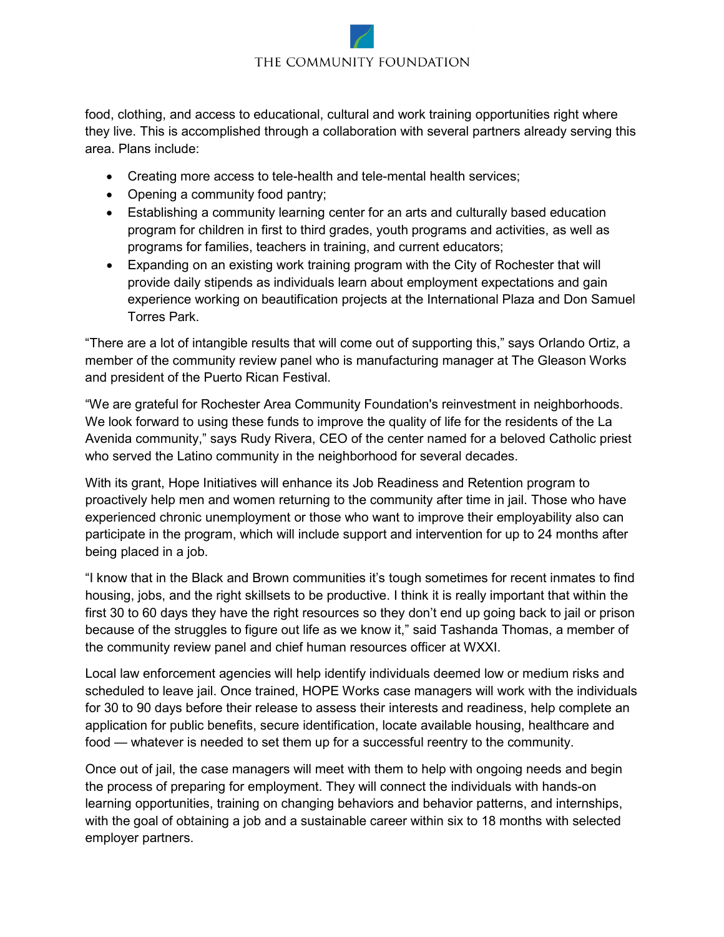## THE COMMUNITY FOUNDATION

food, clothing, and access to educational, cultural and work training opportunities right where they live. This is accomplished through a collaboration with several partners already serving this area. Plans include:

- Creating more access to tele-health and tele-mental health services;
- Opening a community food pantry;
- Establishing a community learning center for an arts and culturally based education program for children in first to third grades, youth programs and activities, as well as programs for families, teachers in training, and current educators;
- Expanding on an existing work training program with the City of Rochester that will provide daily stipends as individuals learn about employment expectations and gain experience working on beautification projects at the International Plaza and Don Samuel Torres Park.

"There are a lot of intangible results that will come out of supporting this," says Orlando Ortiz, a member of the community review panel who is manufacturing manager at The Gleason Works and president of the Puerto Rican Festival.

"We are grateful for Rochester Area Community Foundation's reinvestment in neighborhoods. We look forward to using these funds to improve the quality of life for the residents of the La Avenida community," says Rudy Rivera, CEO of the center named for a beloved Catholic priest who served the Latino community in the neighborhood for several decades.

With its grant, Hope Initiatives will enhance its Job Readiness and Retention program to proactively help men and women returning to the community after time in jail. Those who have experienced chronic unemployment or those who want to improve their employability also can participate in the program, which will include support and intervention for up to 24 months after being placed in a job.

"I know that in the Black and Brown communities it's tough sometimes for recent inmates to find housing, jobs, and the right skillsets to be productive. I think it is really important that within the first 30 to 60 days they have the right resources so they don't end up going back to jail or prison because of the struggles to figure out life as we know it," said Tashanda Thomas, a member of the community review panel and chief human resources officer at WXXI.

Local law enforcement agencies will help identify individuals deemed low or medium risks and scheduled to leave jail. Once trained, HOPE Works case managers will work with the individuals for 30 to 90 days before their release to assess their interests and readiness, help complete an application for public benefits, secure identification, locate available housing, healthcare and food — whatever is needed to set them up for a successful reentry to the community.

Once out of jail, the case managers will meet with them to help with ongoing needs and begin the process of preparing for employment. They will connect the individuals with hands-on learning opportunities, training on changing behaviors and behavior patterns, and internships, with the goal of obtaining a job and a sustainable career within six to 18 months with selected employer partners.